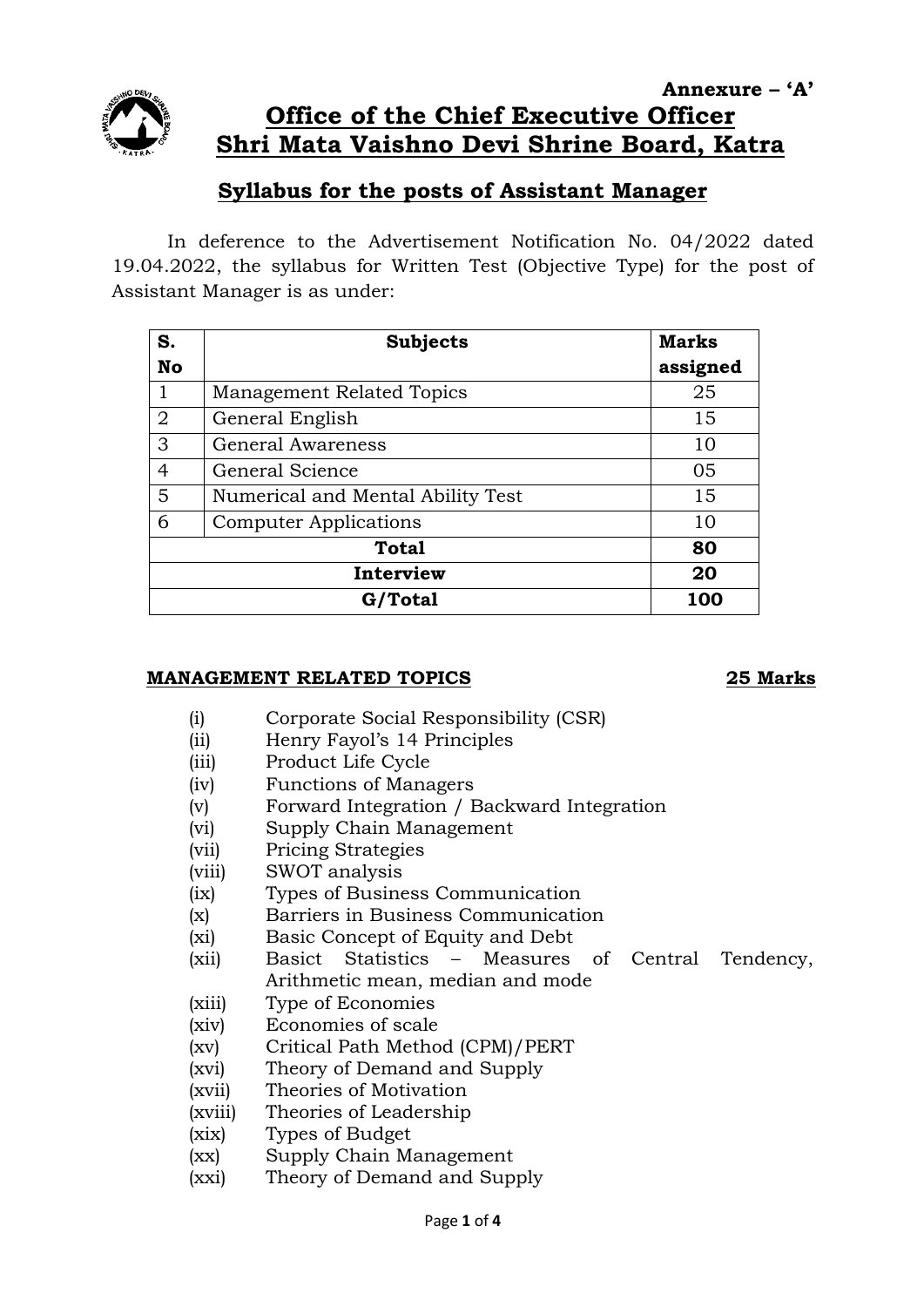

# **Annexure – 'A' Office of the Chief Executive Officer Shri Mata Vaishno Devi Shrine Board, Katra**

# **Syllabus for the posts of Assistant Manager**

In deference to the Advertisement Notification No. 04/2022 dated 19.04.2022, the syllabus for Written Test (Objective Type) for the post of Assistant Manager is as under:

| S.             | <b>Subjects</b>                   | <b>Marks</b> |
|----------------|-----------------------------------|--------------|
| <b>No</b>      |                                   | assigned     |
| 1              | Management Related Topics         | 25           |
| $\overline{2}$ | General English                   | 15           |
| 3              | <b>General Awareness</b>          | 10           |
| 4              | General Science                   | 05           |
| 5              | Numerical and Mental Ability Test | 15           |
| 6              | <b>Computer Applications</b>      | 10           |
| <b>Total</b>   |                                   | 80           |
| Interview      |                                   | 20           |
| G/Total        |                                   | 100          |

### **MANAGEMENT RELATED TOPICS 25 Marks**

- (i) Corporate Social Responsibility (CSR)
- (ii) Henry Fayol's 14 Principles
- (iii) Product Life Cycle
- (iv) Functions of Managers
- (v) Forward Integration / Backward Integration
- (vi) Supply Chain Management
- (vii) Pricing Strategies
- (viii) SWOT analysis
- (ix) Types of Business Communication
- (x) Barriers in Business Communication
- (xi) Basic Concept of Equity and Debt
- (xii) Basict Statistics Measures of Central Tendency, Arithmetic mean, median and mode
- (xiii) Type of Economies
- (xiv) Economies of scale
- (xv) Critical Path Method (CPM)/PERT
- (xvi) Theory of Demand and Supply
- (xvii) Theories of Motivation
- (xviii) Theories of Leadership
- (xix) Types of Budget
- (xx) Supply Chain Management
- (xxi) Theory of Demand and Supply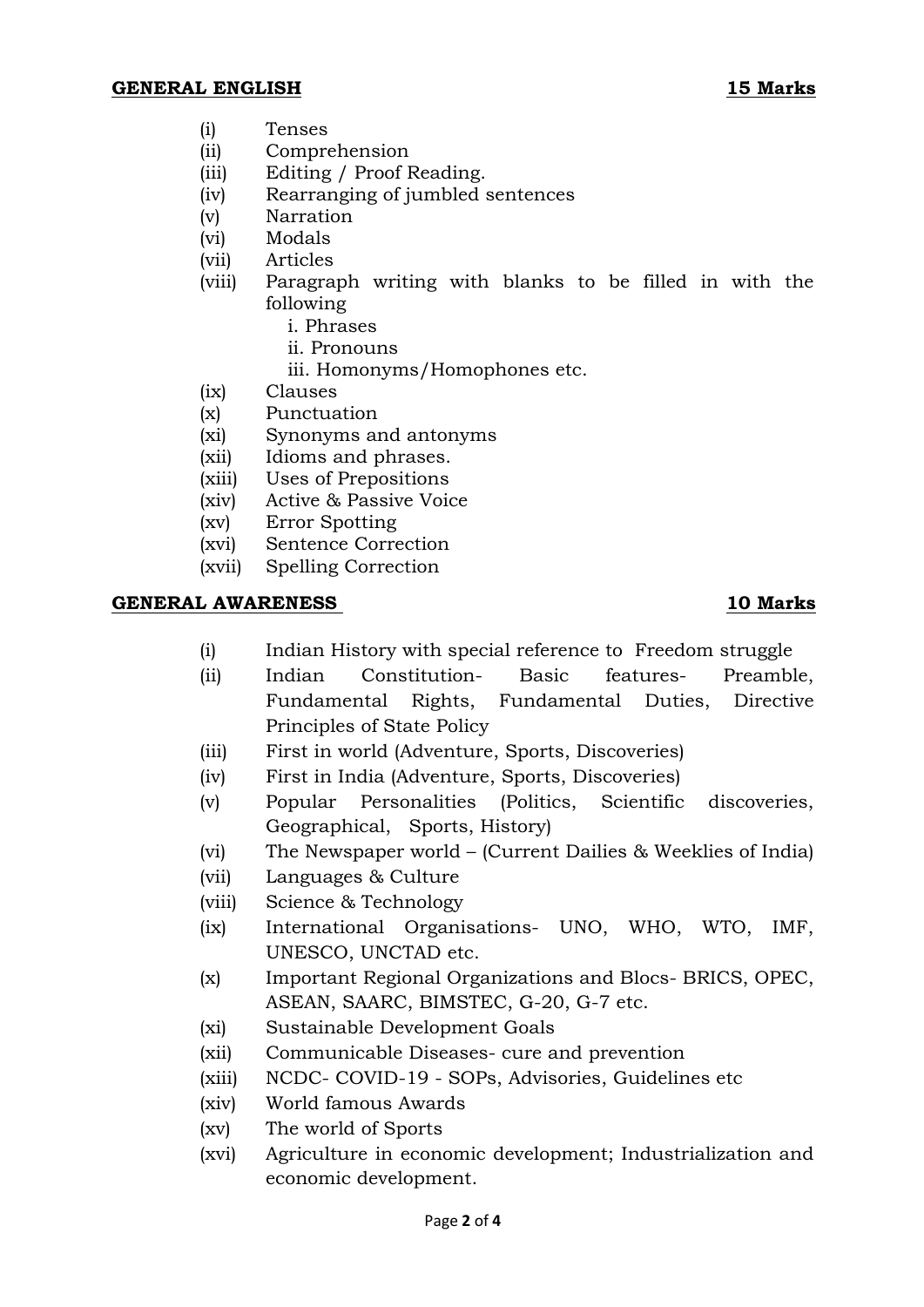- (i) Tenses
- (ii) Comprehension
- (iii) Editing / Proof Reading.
- (iv) Rearranging of jumbled sentences
- (v) Narration
- (vi) Modals
- (vii) Articles
- (viii) Paragraph writing with blanks to be filled in with the following
	- i. Phrases
	- ii. Pronouns
	- iii. Homonyms/Homophones etc.
- (ix) Clauses
- (x) Punctuation
- (xi) Synonyms and antonyms
- (xii) Idioms and phrases.
- (xiii) Uses of Prepositions
- (xiv) Active & Passive Voice
- (xv) Error Spotting
- (xvi) Sentence Correction
- (xvii) Spelling Correction

### **GENERAL AWARENESS 10 Marks**

- (i) Indian History with special reference to Freedom struggle
- (ii) Indian Constitution- Basic features- Preamble, Fundamental Rights, Fundamental Duties, Directive Principles of State Policy
- (iii) First in world (Adventure, Sports, Discoveries)
- (iv) First in India (Adventure, Sports, Discoveries)
- (v) Popular Personalities (Politics, Scientific discoveries, Geographical, Sports, History)
- (vi) The Newspaper world (Current Dailies & Weeklies of India)
- (vii) Languages & Culture
- (viii) Science & Technology
- (ix) International Organisations- UNO, WHO, WTO, IMF, UNESCO, UNCTAD etc.
- (x) Important Regional Organizations and Blocs- BRICS, OPEC, ASEAN, SAARC, BIMSTEC, G-20, G-7 etc.
- (xi) Sustainable Development Goals
- (xii) Communicable Diseases- cure and prevention
- (xiii) NCDC- COVID-19 SOPs, Advisories, Guidelines etc
- (xiv) World famous Awards
- (xv) The world of Sports
- (xvi) Agriculture in economic development; Industrialization and economic development.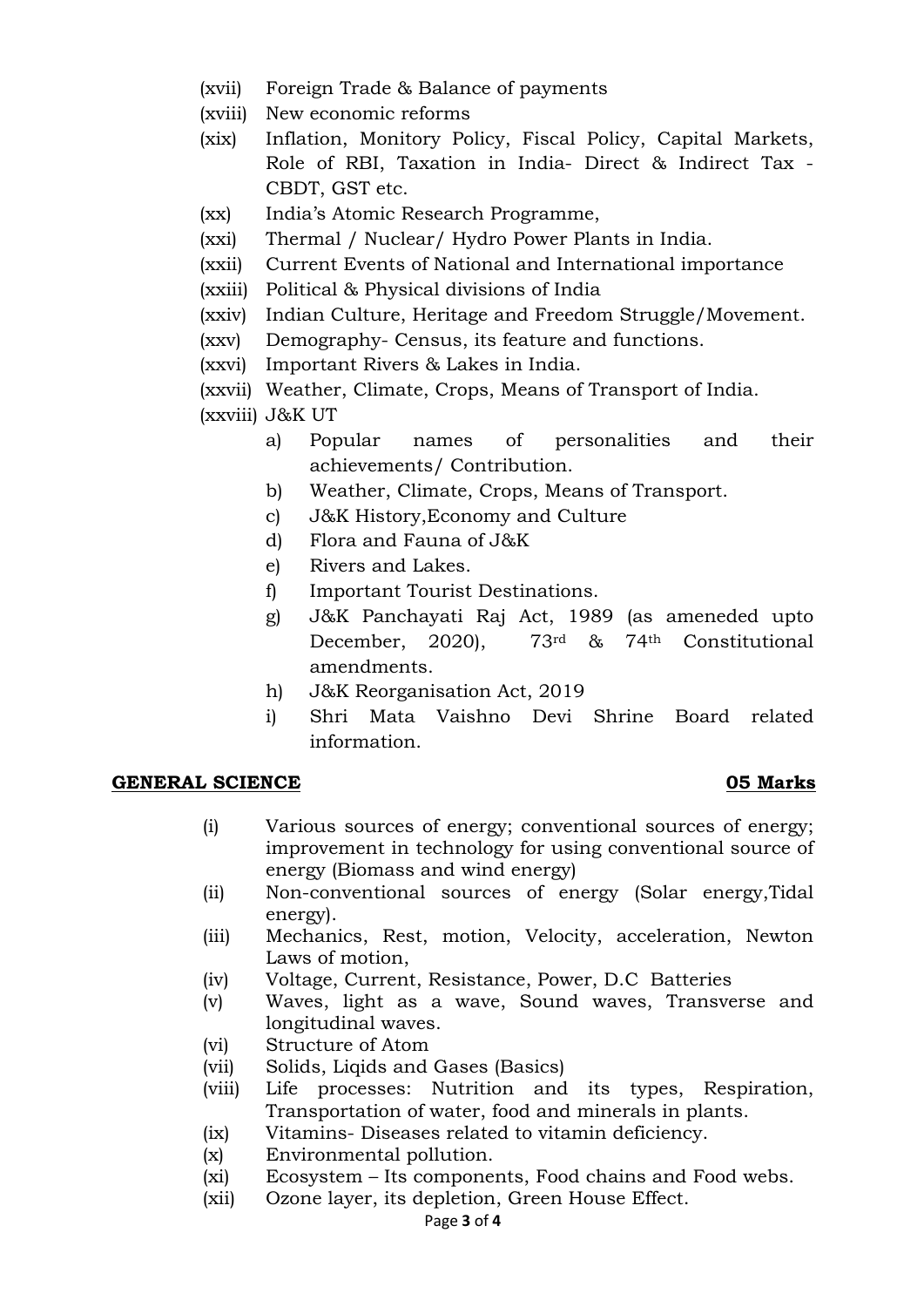- (xvii) Foreign Trade & Balance of payments
- (xviii) New economic reforms
- (xix) Inflation, Monitory Policy, Fiscal Policy, Capital Markets, Role of RBI, Taxation in India- Direct & Indirect Tax - CBDT, GST etc.
- (xx) India's Atomic Research Programme,
- (xxi) Thermal / Nuclear/ Hydro Power Plants in India.
- (xxii) Current Events of National and International importance
- (xxiii) Political & Physical divisions of India
- (xxiv) Indian Culture, Heritage and Freedom Struggle/Movement.
- (xxv) Demography- Census, its feature and functions.
- (xxvi) Important Rivers & Lakes in India.
- (xxvii) Weather, Climate, Crops, Means of Transport of India.

(xxviii) J&K UT

- a) Popular names of personalities and their achievements/ Contribution.
- b) Weather, Climate, Crops, Means of Transport.
- c) J&K History,Economy and Culture
- d) Flora and Fauna of J&K
- e) Rivers and Lakes.
- f) Important Tourist Destinations.
- g) J&K Panchayati Raj Act, 1989 (as ameneded upto December, 2020), 73rd & 74th Constitutional amendments.
- h) J&K Reorganisation Act, 2019
- i) Shri Mata Vaishno Devi Shrine Board related information.

### **GENERAL SCIENCE 05 Marks**

- (i) Various sources of energy; conventional sources of energy; improvement in technology for using conventional source of energy (Biomass and wind energy)
- (ii) Non-conventional sources of energy (Solar energy,Tidal energy).
- (iii) Mechanics, Rest, motion, Velocity, acceleration, Newton Laws of motion,
- (iv) Voltage, Current, Resistance, Power, D.C Batteries
- (v) Waves, light as a wave, Sound waves, Transverse and longitudinal waves.
- (vi) Structure of Atom
- (vii) Solids, Liqids and Gases (Basics)
- (viii) Life processes: Nutrition and its types, Respiration, Transportation of water, food and minerals in plants.
- (ix) Vitamins- Diseases related to vitamin deficiency.
- (x) Environmental pollution.
- (xi) Ecosystem Its components, Food chains and Food webs.
- (xii) Ozone layer, its depletion, Green House Effect.